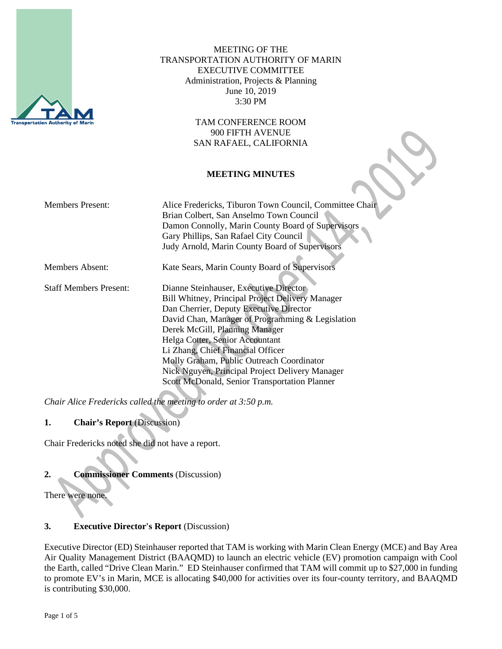

MEETING OF THE TRANSPORTATION AUTHORITY OF MARIN EXECUTIVE COMMITTEE Administration, Projects & Planning June 10, 2019 3:30 PM

> TAM CONFERENCE ROOM 900 FIFTH AVENUE SAN RAFAEL, CALIFORNIA

## **MEETING MINUTES**

| <b>Members Present:</b>       | Alice Fredericks, Tiburon Town Council, Committee Chair<br>Brian Colbert, San Anselmo Town Council<br>Damon Connolly, Marin County Board of Supervisors<br>Gary Phillips, San Rafael City Council<br>Judy Arnold, Marin County Board of Supervisors                                                                                                                                                                                                         |
|-------------------------------|-------------------------------------------------------------------------------------------------------------------------------------------------------------------------------------------------------------------------------------------------------------------------------------------------------------------------------------------------------------------------------------------------------------------------------------------------------------|
| Members Absent:               | Kate Sears, Marin County Board of Supervisors                                                                                                                                                                                                                                                                                                                                                                                                               |
| <b>Staff Members Present:</b> | Dianne Steinhauser, Executive Director<br><b>Bill Whitney, Principal Project Delivery Manager</b><br>Dan Cherrier, Deputy Executive Director<br>David Chan, Manager of Programming & Legislation<br>Derek McGill, Planning Manager<br>Helga Cotter, Senior Accountant<br>Li Zhang, Chief Financial Officer<br>Molly Graham, Public Outreach Coordinator<br>Nick Nguyen, Principal Project Delivery Manager<br>Scott McDonald, Senior Transportation Planner |

*Chair Alice Fredericks called the meeting to order at 3:50 p.m.*

# **1. Chair's Report** (Discussion)

Chair Fredericks noted she did not have a report.

# **2. Commissioner Comments** (Discussion)

There were none.

# **3. Executive Director's Report** (Discussion)

Executive Director (ED) Steinhauser reported that TAM is working with Marin Clean Energy (MCE) and Bay Area Air Quality Management District (BAAQMD) to launch an electric vehicle (EV) promotion campaign with Cool the Earth, called "Drive Clean Marin." ED Steinhauser confirmed that TAM will commit up to \$27,000 in funding to promote EV's in Marin, MCE is allocating \$40,000 for activities over its four-county territory, and BAAQMD is contributing \$30,000.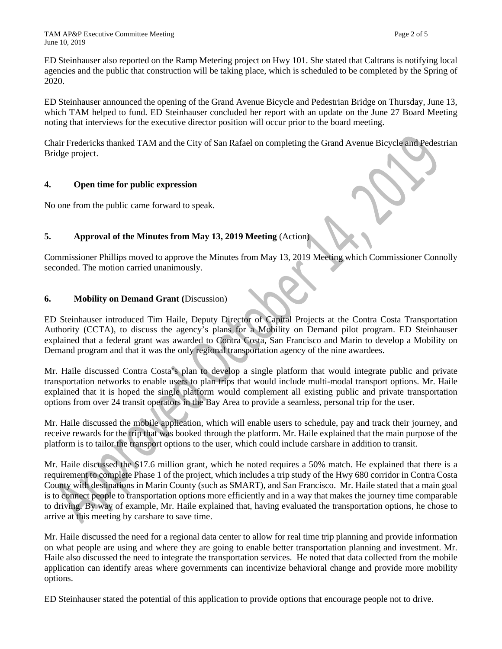ED Steinhauser also reported on the Ramp Metering project on Hwy 101. She stated that Caltrans is notifying local agencies and the public that construction will be taking place, which is scheduled to be completed by the Spring of 2020.

ED Steinhauser announced the opening of the Grand Avenue Bicycle and Pedestrian Bridge on Thursday, June 13, which TAM helped to fund. ED Steinhauser concluded her report with an update on the June 27 Board Meeting noting that interviews for the executive director position will occur prior to the board meeting.

Chair Fredericks thanked TAM and the City of San Rafael on completing the Grand Avenue Bicycle and Pedestrian Bridge project.

## **4. Open time for public expression**

No one from the public came forward to speak.

# **5. Approval of the Minutes from May 13, 2019 Meeting (Action)**

Commissioner Phillips moved to approve the Minutes from May 13, 2019 Meeting which Commissioner Connolly seconded. The motion carried unanimously.

#### **6. Mobility on Demand Grant (**Discussion)

ED Steinhauser introduced Tim Haile, Deputy Director of Capital Projects at the Contra Costa Transportation Authority (CCTA), to discuss the agency's plans for a Mobility on Demand pilot program. ED Steinhauser explained that a federal grant was awarded to Contra Costa, San Francisco and Marin to develop a Mobility on Demand program and that it was the only regional transportation agency of the nine awardees.

Mr. Haile discussed Contra Costa's plan to develop a single platform that would integrate public and private transportation networks to enable users to plan trips that would include multi-modal transport options. Mr. Haile explained that it is hoped the single platform would complement all existing public and private transportation options from over 24 transit operators in the Bay Area to provide a seamless, personal trip for the user.

Mr. Haile discussed the mobile application, which will enable users to schedule, pay and track their journey, and receive rewards for the trip that was booked through the platform. Mr. Haile explained that the main purpose of the platform is to tailor the transport options to the user, which could include carshare in addition to transit.

Mr. Haile discussed the \$17.6 million grant, which he noted requires a 50% match. He explained that there is a requirement to complete Phase 1 of the project, which includes a trip study of the Hwy 680 corridor in Contra Costa County with destinations in Marin County (such as SMART), and San Francisco. Mr. Haile stated that a main goal is to connect people to transportation options more efficiently and in a way that makes the journey time comparable to driving. By way of example, Mr. Haile explained that, having evaluated the transportation options, he chose to arrive at this meeting by carshare to save time.

Mr. Haile discussed the need for a regional data center to allow for real time trip planning and provide information on what people are using and where they are going to enable better transportation planning and investment. Mr. Haile also discussed the need to integrate the transportation services. He noted that data collected from the mobile application can identify areas where governments can incentivize behavioral change and provide more mobility options.

ED Steinhauser stated the potential of this application to provide options that encourage people not to drive.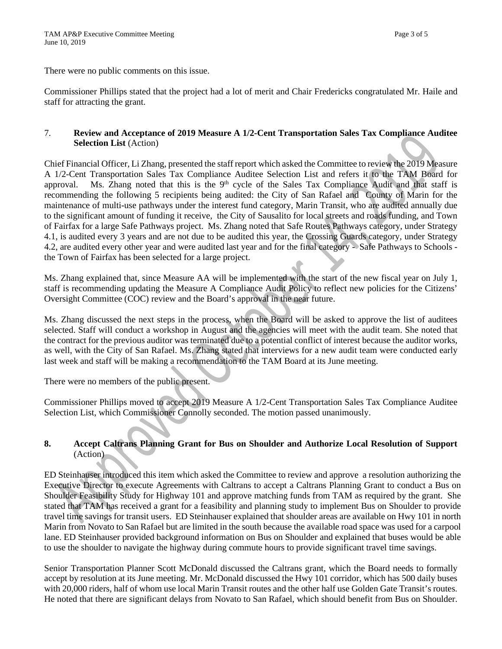There were no public comments on this issue.

Commissioner Phillips stated that the project had a lot of merit and Chair Fredericks congratulated Mr. Haile and staff for attracting the grant.

### 7. **Review and Acceptance of 2019 Measure A 1/2-Cent Transportation Sales Tax Compliance Auditee Selection List** (Action)

Chief Financial Officer, Li Zhang, presented the staff report which asked the Committee to review the 2019 Measure A 1/2-Cent Transportation Sales Tax Compliance Auditee Selection List and refers it to the TAM Board for approval. Ms. Zhang noted that this is the 9<sup>th</sup> cycle of the Sales Tax Compliance Audit and that staff is recommending the following 5 recipients being audited: the City of San Rafael and County of Marin for the maintenance of multi-use pathways under the interest fund category, Marin Transit, who are audited annually due to the significant amount of funding it receive, the City of Sausalito for local streets and roads funding, and Town of Fairfax for a large Safe Pathways project. Ms. Zhang noted that Safe Routes Pathways category, under Strategy 4.1, is audited every 3 years and are not due to be audited this year, the Crossing Guards category, under Strategy 4.2, are audited every other year and were audited last year and for the final category - Safe Pathways to Schools the Town of Fairfax has been selected for a large project.

Ms. Zhang explained that, since Measure AA will be implemented with the start of the new fiscal year on July 1, staff is recommending updating the Measure A Compliance Audit Policy to reflect new policies for the Citizens' Oversight Committee (COC) review and the Board's approval in the near future.

Ms. Zhang discussed the next steps in the process, when the Board will be asked to approve the list of auditees selected. Staff will conduct a workshop in August and the agencies will meet with the audit team. She noted that the contract for the previous auditor was terminated due to a potential conflict of interest because the auditor works, as well, with the City of San Rafael. Ms. Zhang stated that interviews for a new audit team were conducted early last week and staff will be making a recommendation to the TAM Board at its June meeting.

There were no members of the public present.

Commissioner Phillips moved to accept 2019 Measure A 1/2-Cent Transportation Sales Tax Compliance Auditee Selection List, which Commissioner Connolly seconded. The motion passed unanimously.

# **8. Accept Caltrans Planning Grant for Bus on Shoulder and Authorize Local Resolution of Support**  (Action)

ED Steinhauser introduced this item which asked the Committee to review and approve a resolution authorizing the Executive Director to execute Agreements with Caltrans to accept a Caltrans Planning Grant to conduct a Bus on Shoulder Feasibility Study for Highway 101 and approve matching funds from TAM as required by the grant. She stated that TAM has received a grant for a feasibility and planning study to implement Bus on Shoulder to provide travel time savings for transit users. ED Steinhauser explained that shoulder areas are available on Hwy 101 in north Marin from Novato to San Rafael but are limited in the south because the available road space was used for a carpool lane. ED Steinhauser provided background information on Bus on Shoulder and explained that buses would be able to use the shoulder to navigate the highway during commute hours to provide significant travel time savings.

Senior Transportation Planner Scott McDonald discussed the Caltrans grant, which the Board needs to formally accept by resolution at its June meeting. Mr. McDonald discussed the Hwy 101 corridor, which has 500 daily buses with 20,000 riders, half of whom use local Marin Transit routes and the other half use Golden Gate Transit's routes. He noted that there are significant delays from Novato to San Rafael, which should benefit from Bus on Shoulder.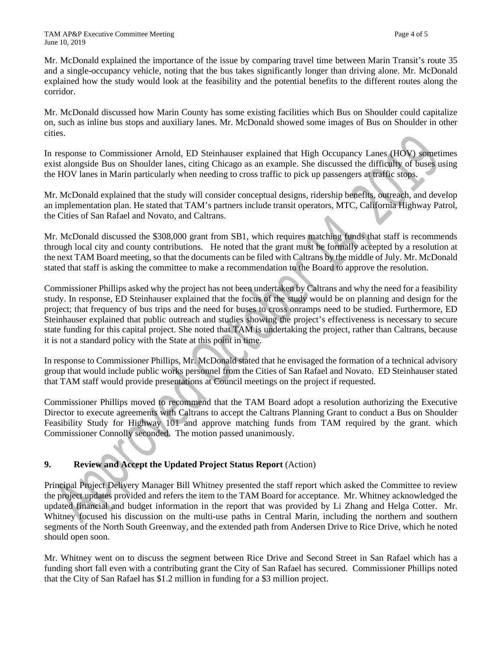Mr. McDonald explained the importance of the issue by comparing travel time between Marin Transit's route 35 and a single-occupancy vehicle, noting that the bus takes significantly longer than driving alone. Mr. McDonald explained how the study would look at the feasibility and the potential benefits to the different routes along the corridor.

Mr. McDonald discussed how Marin County has some existing facilities which Bus on Shoulder could capitalize on, such as inline bus stops and auxiliary lanes. Mr. McDonald showed some images of Bus on Shoulder in other cities.

In response to Commissioner Arnold, ED Steinhauser explained that High Occupancy Lanes (HOV) sometimes exist alongside Bus on Shoulder lanes, citing Chicago as an example. She discussed the difficulty of buses using the HOV lanes in Marin particularly when needing to cross traffic to pick up passengers at traffic stops.

Mr. McDonald explained that the study will consider conceptual designs, ridership benefits, outreach, and develop an implementation plan. He stated that TAM's partners include transit operators, MTC, California Highway Patrol, the Cities of San Rafael and Novato, and Caltrans.

Mr. McDonald discussed the \$308,000 grant from SB1, which requires matching funds that staff is recommends through local city and county contributions. He noted that the grant must be formally accepted by a resolution at the next TAM Board meeting, so that the documents can be filed with Caltrans by the middle of July. Mr. McDonald stated that staff is asking the committee to make a recommendation to the Board to approve the resolution.

Commissioner Phillips asked why the project has not been undertaken by Caltrans and why the need for a feasibility study. In response, ED Steinhauser explained that the focus of the study would be on planning and design for the project; that frequency of bus trips and the need for buses to cross onramps need to be studied. Furthermore, ED Steinhauser explained that public outreach and studies showing the project's effectiveness is necessary to secure state funding for this capital project. She noted that TAM is undertaking the project, rather than Caltrans, because it is not a standard policy with the State at this point in time.

In response to Commissioner Phillips, Mr. McDonald stated that he envisaged the formation of a technical advisory group that would include public works personnel from the Cities of San Rafael and Novato. ED Steinhauser stated that TAM staff would provide presentations at Council meetings on the project if requested.

Commissioner Phillips moved to recommend that the TAM Board adopt a resolution authorizing the Executive Director to execute agreements with Caltrans to accept the Caltrans Planning Grant to conduct a Bus on Shoulder Feasibility Study for Highway 101 and approve matching funds from TAM required by the grant. which Commissioner Connolly seconded. The motion passed unanimously.

# **9. Review and Accept the Updated Project Status Report** (Action)

Principal Project Delivery Manager Bill Whitney presented the staff report which asked the Committee to review the project updates provided and refers the item to the TAM Board for acceptance. Mr. Whitney acknowledged the updated financial and budget information in the report that was provided by Li Zhang and Helga Cotter. Mr. Whitney focused his discussion on the multi-use paths in Central Marin, including the northern and southern segments of the North South Greenway, and the extended path from Andersen Drive to Rice Drive, which he noted should open soon.

Mr. Whitney went on to discuss the segment between Rice Drive and Second Street in San Rafael which has a funding short fall even with a contributing grant the City of San Rafael has secured. Commissioner Phillips noted that the City of San Rafael has \$1.2 million in funding for a \$3 million project.